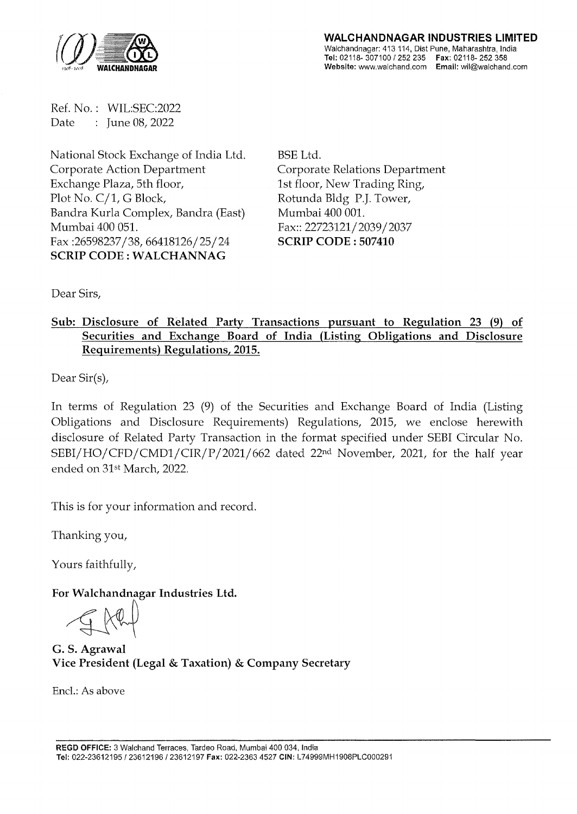

Ref. No.: WIL:SEC:2022 Date : June 08, 2022

National Stock Exchange of India Ltd. Corporate Action Department Exchange Plaza, 5th floor, Plot No. C/1, G Block, Bandra Kurla Complex, Bandra (East) Mumbai 400 051. Fax:26598237/38,66418126/25/24 SCRIP CODE: WALCHANNAG

BSE Ltd. Corporate Relations Department 1st floor, New Trading Ring, Rotunda Bldg P.J. Tower, Mumbai 400 001. Fax:: 22723121/2039/2037 SCRIP CODE : 507410

Dear Sirs,

## Sub: Disclosure of Related Party Transactions pursuant to Regulation 23 (9) of Securities and Exchange Board of India (Listing Obligations and Disclosure Requirements) Regulations, 2015.

Dear Sir(s),

In terms of Regulation 23 (9) of the Securities and Exchange Board of India (Listing Obligations and Disclosure Requirements) Regulations, 2015, we enclose herewith disclosure of Related Party Transaction in the format specified under SEBI Circular No. SEBI/HO/CFD/CMD1/CIR/P/2021/662 dated 22nd November, 2021, for the half year ended on 31st March, 2022.

This is for your information and record.

Thanking you,

Yours faithfully,

For Walchandnagar Industries Ltd.

G. S. Agrawal Vice President (Legal & Taxation) & Company Secretary

Encl.: As above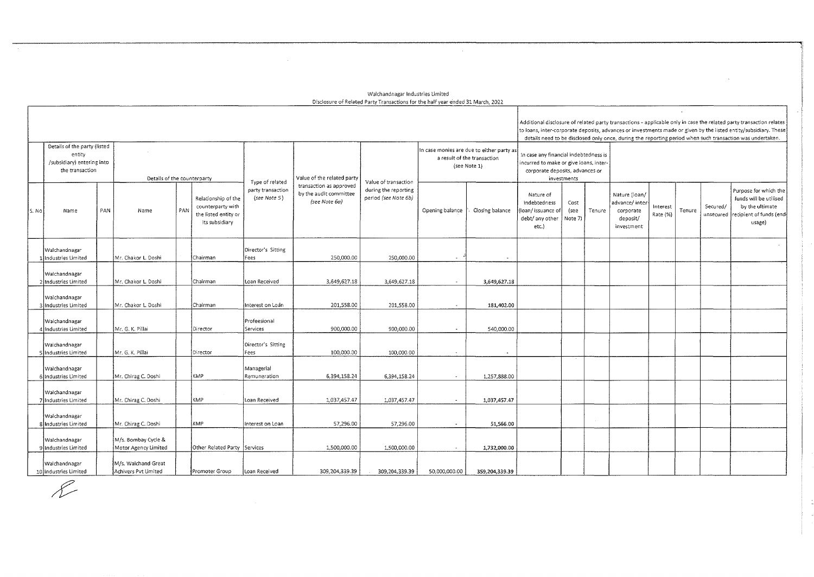## Walchandnagar Industries Limited Disclosure of Related Party Transactions for the half year e'nded 31 March, 2022.

 $\sim$   $\sim$ 

 $\sim 10^7$ 

|                                                                                         |                                        |                             |                                             |     |                                                                                    |                                   |                                                                    |                                                                                          |                       |                                                                                                                                  |                                                                          |                         |        |                                                                       |                      |        |          | Additional disclosure of related party transactions - applicable only in case the related party transaction relates<br>to loans, inter-corporate deposits, advances or investments made or given by the listed entity/subsidiary. These |
|-----------------------------------------------------------------------------------------|----------------------------------------|-----------------------------|---------------------------------------------|-----|------------------------------------------------------------------------------------|-----------------------------------|--------------------------------------------------------------------|------------------------------------------------------------------------------------------|-----------------------|----------------------------------------------------------------------------------------------------------------------------------|--------------------------------------------------------------------------|-------------------------|--------|-----------------------------------------------------------------------|----------------------|--------|----------|-----------------------------------------------------------------------------------------------------------------------------------------------------------------------------------------------------------------------------------------|
|                                                                                         |                                        |                             |                                             |     |                                                                                    |                                   |                                                                    |                                                                                          |                       |                                                                                                                                  |                                                                          |                         |        |                                                                       |                      |        |          | details need to be disclosed only once, during the reporting period when such transaction was undertaken.                                                                                                                               |
| Details of the party (listed<br>entity<br>/subsidiary) entering into<br>the transaction |                                        | Details of the counterparty |                                             |     | Type of related                                                                    | Value of the related party        | Value of transaction                                               | In case monies are due to either party as<br>a result of the transaction<br>(see Note 1) |                       | In case any financial indebtedness is<br>incurred to make or give loans, inter<br>corporate deposits, advances or<br>investments |                                                                          |                         |        |                                                                       |                      |        |          |                                                                                                                                                                                                                                         |
|                                                                                         | S. No<br>Name                          | PAN                         | Name                                        | PAN | Relationship of the<br>counterparty with<br>the listed entity or<br>its subsidiary | party transaction<br>(see Note 5) | transaction as approved<br>by the audit committee<br>(see Note 6a) | during the reporting<br>period (see Note 6b)                                             | Opening balance       | Closing balance                                                                                                                  | Nature of<br>indebtedness<br>loan/issuance o<br>debt/ any other<br>etc.) | Cost<br>(see<br>Note 7) | Tenure | Nature (loan/<br>advance/inter<br>corporate<br>deposit/<br>investment | Interest<br>Rate (%) | Tenure | Secured/ | Purpose for which the<br>funds will be utilised<br>by the ultimate<br>unsecured recipient of funds (end-<br>usage)                                                                                                                      |
|                                                                                         | Walchandnagar<br>Ilndustries Limited   |                             | Mr. Chakor L. Doshi                         |     | Chairman                                                                           | Director's Sitting<br>Fees        | 250,000.00                                                         | 250,000.00                                                                               | $\sim$                | $\sim$                                                                                                                           |                                                                          |                         |        |                                                                       |                      |        |          |                                                                                                                                                                                                                                         |
|                                                                                         | Walchandnagar<br>2 Industries Limited  |                             | Mr. Chakor L. Doshi                         |     | Chairman                                                                           | Loan Received                     | 3,649,627.18                                                       | 3,649,627.18                                                                             | $\sim$                | 3,649,627.18                                                                                                                     |                                                                          |                         |        |                                                                       |                      |        |          |                                                                                                                                                                                                                                         |
|                                                                                         | Walchandnagar<br>Industries Limited    |                             | Mr. Chakor L. Doshi                         |     | Chairman                                                                           | Interest on Loan                  | 201,558.00                                                         | 201,558.00                                                                               | $\sim$                | 181.402.00                                                                                                                       |                                                                          |                         |        |                                                                       |                      |        |          |                                                                                                                                                                                                                                         |
|                                                                                         | Walchandnagar<br>1∫Industries Limited  |                             | Mr. G. K. Pillai                            |     | Director                                                                           | Profeesional<br>Services          | 900,000.00                                                         | 900,000.00                                                                               | $\sim$                | 540,000.00                                                                                                                       |                                                                          |                         |        |                                                                       |                      |        |          |                                                                                                                                                                                                                                         |
|                                                                                         | Walchandnagar<br>5 Industries Limited  |                             | Mr. G. K. Pillai                            |     | Director                                                                           | Director's Sitting<br>Fees        | 100,000.00                                                         | 100,000.00                                                                               | $\tilde{\phantom{a}}$ |                                                                                                                                  |                                                                          |                         |        |                                                                       |                      |        |          |                                                                                                                                                                                                                                         |
|                                                                                         | Walchandnagar<br>6 Industries Limited  |                             | Mr. Chirag C. Doshi                         |     | KMP                                                                                | Managerial<br>Remuneration        | 6,394,158.24                                                       | 6,394,158.24                                                                             | $\sim$                | 1,257,888.00                                                                                                                     |                                                                          |                         |        |                                                                       |                      |        |          |                                                                                                                                                                                                                                         |
|                                                                                         | Walchandnagar<br>7 Industries Limited  |                             | Mr. Chirag C. Doshi                         |     | KMP                                                                                | Loan Received                     | 1,037,457.47                                                       | 1,037,457.47                                                                             | $\sim$                | 1,037,457.47                                                                                                                     |                                                                          |                         |        |                                                                       |                      |        |          |                                                                                                                                                                                                                                         |
|                                                                                         | Walchandnagar<br>8 Industries Limited  |                             | Mr. Chirag C. Doshi                         |     | KMP                                                                                | Interest on Loan                  | 57,296.00                                                          | 57,296.00                                                                                | $\sim$                | 51,566.00                                                                                                                        |                                                                          |                         |        |                                                                       |                      |        |          |                                                                                                                                                                                                                                         |
|                                                                                         | Walchandnagar<br>9 Industries Limited  |                             | M/s. Bombay Cycle &<br>Motor Agency Limited |     | Other Related Party Services                                                       |                                   | 1,500,000.00                                                       | 1,500,000.00                                                                             | $\sim$                | 1,732,000.00                                                                                                                     |                                                                          |                         |        |                                                                       |                      |        |          |                                                                                                                                                                                                                                         |
|                                                                                         | Walchandnagar<br>10 Industries Limited |                             | M/s. Walchand Great<br>Achivers Pvt Limited |     | Promoter Group                                                                     | Loan Received                     | 309, 204, 339.39                                                   | 309, 204, 339.39                                                                         | 50,000,000.00         | 359,204,339.39                                                                                                                   |                                                                          |                         |        |                                                                       |                      |        |          |                                                                                                                                                                                                                                         |

£